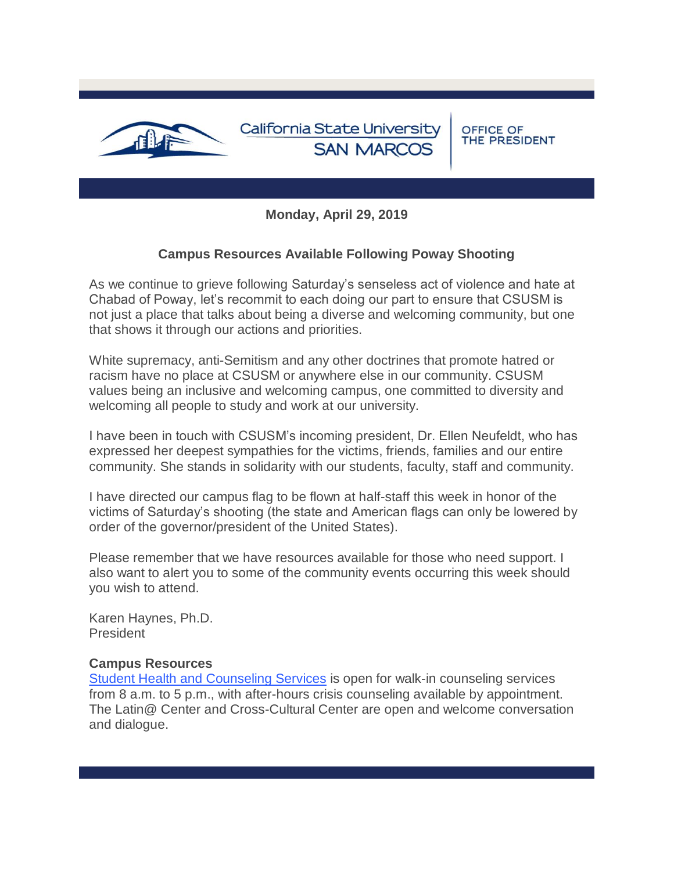

**Monday, April 29, 2019**

# **Campus Resources Available Following Poway Shooting**

As we continue to grieve following Saturday's senseless act of violence and hate at Chabad of Poway, let's recommit to each doing our part to ensure that CSUSM is not just a place that talks about being a diverse and welcoming community, but one that shows it through our actions and priorities.

White supremacy, anti-Semitism and any other doctrines that promote hatred or racism have no place at CSUSM or anywhere else in our community. CSUSM values being an inclusive and welcoming campus, one committed to diversity and welcoming all people to study and work at our university.

I have been in touch with CSUSM's incoming president, Dr. Ellen Neufeldt, who has expressed her deepest sympathies for the victims, friends, families and our entire community. She stands in solidarity with our students, faculty, staff and community.

I have directed our campus flag to be flown at half-staff this week in honor of the victims of Saturday's shooting (the state and American flags can only be lowered by order of the governor/president of the United States).

Please remember that we have resources available for those who need support. I also want to alert you to some of the community events occurring this week should you wish to attend.

Karen Haynes, Ph.D. **President** 

### **Campus Resources**

[Student Health and Counseling Services](https://t.e2ma.net/click/g9mrvqg/suvlxp/sqsoudpb) is open for walk-in counseling services from 8 a.m. to 5 p.m., with after-hours crisis counseling available by appointment. The Latin@ Center and Cross-Cultural Center are open and welcome conversation and dialogue.